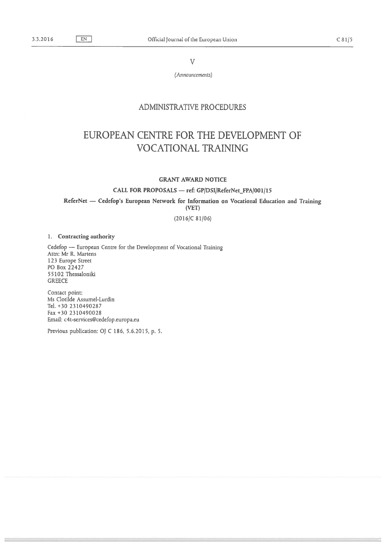V

(Announcements)

## ADMINISTRATIVE PROCEDURES

## EUROPEAN CENTRE FOR THE DEVELOPMENT OF VOCATIONAL TRAINING

## GRANT AWARD NOTICE

CALL FOR PROPOSALS - ref: GP/DSI/ReferNet\_FPA/001/15

ReferNet — Cedefop's European Network for Information on Vocational Education and Training

(VET)

(2016/C 81/06)

## 1. Contracting authority

Cedefop — European Centre for the Development of Vocational Training Attn: Mr R. Martens 123 Europe Street P0 Box 22427 55102 Thessaloniki **GREECE** 

Contact point: Ms Clotilde Assumel-Lurdin Tel. +30 2310490287 Fax +30 2310490028 Email: c4t-services@cedefop .europa.eu

Previous publication: OJ <sup>C</sup> 186, 5.6.2015, p. 5.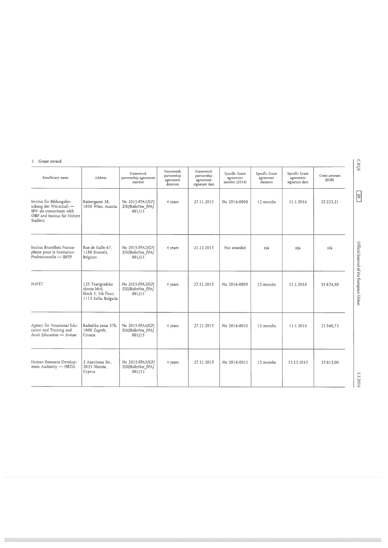| Grant award |  |
|-------------|--|
|             |  |

| Beneficiary name                                                                                                            | Address                                                                         | Framework<br>partnership agreement<br>number    | Framework<br>partnership<br>agreement<br>duration | Framework<br>partnership<br>agreement<br>signature date | Specific Grant<br>agreement<br>number (2016) | Specific Grant<br>agreement<br>duration | Specific Grant<br>.<br>agreement<br>signature date | Grant amount<br>(EUR) |
|-----------------------------------------------------------------------------------------------------------------------------|---------------------------------------------------------------------------------|-------------------------------------------------|---------------------------------------------------|---------------------------------------------------------|----------------------------------------------|-----------------------------------------|----------------------------------------------------|-----------------------|
| Institut für Bildungsfor-<br>schung der Wirtschaft -<br>IBW (in consortium with<br>OIBF and Institut für Höhere<br>Studien) | Rainergasse 38,<br>1050 Wien, Austria                                           | No 2015-FPA1/GP/<br>DSI/ReferNet_FPA/<br>001/15 | 4 years                                           | 27.11.2015                                              | No 2016-0008                                 | 12 months                               | 11.1.2016                                          | 32 233,21             |
| Institut Bruxellois Franco-<br>phone pour la Formation<br>Professionnelle - IBFFP                                           | Rue de Stalle 67.<br>1180 Brussels.<br>Belgium                                  | No 2015-FPA2/GP/<br>DSI/ReferNet_FPA/<br>001/15 | 4 years                                           | 21.12.2015                                              | Not awarded                                  | n/a                                     | n/a                                                | n/a                   |
| <b>NAVET</b>                                                                                                                | 125 Tzarigradsko<br>shosse blvd,<br>block 5, 5th floor.<br>1113 Sofia, Bulgaria | No 2015-FPA3/GP/<br>DSI/ReferNet_FPA/<br>001/15 | 4 years                                           | 27.11.2015                                              | No 2016-0009                                 | 12 months                               | 11.1.2016                                          | 33 624.50             |
| Agency for Vocational Edu-<br>cation and Training and<br>Adult Education - Avetae                                           | Radnička cesta 37b.<br>1000 Zagreb,<br>Croatia                                  | No 2015-FPA4/GP/<br>DSI/ReferNet_FPA/<br>001/15 | 4 years                                           | 27.11.2015                                              | No 2016-0010                                 | 12 months                               | 11.1.2016                                          | 23 560,73             |
| Human Resource Develop-<br>ment Authority - HRDA                                                                            | 2 Anavissou Str.,<br>2025 Nicosia.<br>Cyprus                                    | No 2015-FPA5/GP/<br>DSI/ReferNet_FPA/<br>001/15 | 4 years                                           | 27.11.2015                                              | No 2016-0011                                 | 12 months                               | 23.12.2015                                         | 23 615.00             |

C81/6

 $\boxed{\Xi}$ 

3.3.2016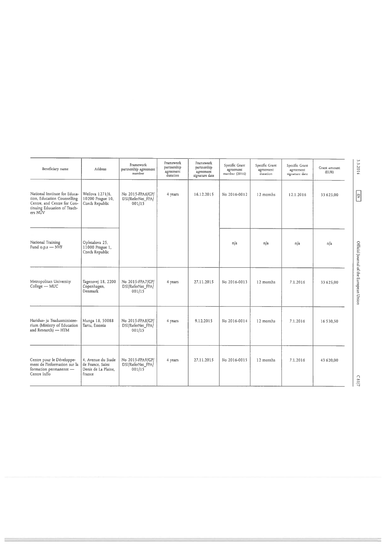| Beneficiary name                                                                                                                      | Address                                                                 | Framework<br>partnership agreement<br>number    | Framework<br>partnership<br>agreement<br>duration | Framework<br>partnership<br>agreement<br>signature date | Specific Grant<br>agreement<br>number (2016) | Specific Grant<br>agreement<br>duration | Specific Grant<br>agreement<br>signature date | Grant amount<br>(EUR) | 3.3.2016                               |
|---------------------------------------------------------------------------------------------------------------------------------------|-------------------------------------------------------------------------|-------------------------------------------------|---------------------------------------------------|---------------------------------------------------------|----------------------------------------------|-----------------------------------------|-----------------------------------------------|-----------------------|----------------------------------------|
| National Institute for Educa-<br>tion, Education Counselling<br>Centre, and Centre for Con-<br>tinuing Education of Teach-<br>ers NÚV | Weilova 1271/6,<br>10200 Prague 10,<br>Czech Republic                   | No 2015-FPA6/GP/<br>DSI/ReferNet_FPA/<br>001/15 | 4 years                                           | 16.12.2015                                              | No 2016-0012                                 | 12 months                               | 12.1.2016                                     | 33 625.00             | $\boxed{\Xi}$                          |
| National Training<br>Fund o.p.s - NVF                                                                                                 | Opletalova 25,<br>11000 Prague 1,<br>Czech Republic                     |                                                 |                                                   |                                                         | n/a                                          | n/a                                     | n/a                                           | n/a                   |                                        |
| Metropolitan University<br>College - MUC                                                                                              | Tagensvej 18, 2200<br>Copenhagen,<br>Denmark                            | No 2015-FPA7/GP/<br>DSI/ReferNet_FPA/<br>001/15 | 4 years                                           | 27.11.2015                                              | No 2016-0013                                 | 12 months                               | 7.1.2016                                      | 33 625.00             | Official Journal of the European Union |
| Haridus- ja Teadusministee-<br>rium (Ministry of Education<br>and Research) - HTM                                                     | Munga 18, 50088<br>Tartu, Estonia                                       | No 2015-FPA8/GP/<br>DSI/ReferNet_FPA/<br>001/15 | 4 years                                           | 9.12.2015                                               | No 2016-0014                                 | 12 months                               | 7.1.2016                                      | 16 530,50             |                                        |
| Centre pour le Développe-<br>ment de l'information sur la<br>formation permanente -<br>Centre Inffo                                   | 4, Avenue du Stade<br>de France. Saint<br>Denis de La Plaine,<br>France | No 2015-FPA9/GP/<br>DSI/ReferNet_FPAJ<br>001/15 | 4 years                                           | 27.11.2015                                              | No 2016-0015                                 | 12 months                               | 7.1.2016                                      | 43 620,00             | C81/7                                  |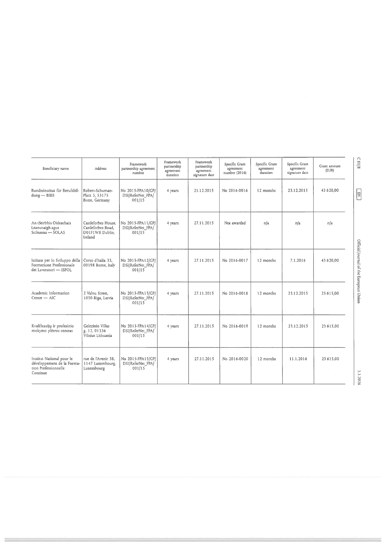| Beneficiary name                                                                            | Address                                                                 | Framework<br>partnership agreement<br>number     | Framework<br>partnership<br>agreement<br>duration | Framework<br>partnership<br>agreement<br>signature date | Specific Grant<br>agreement<br>number (2016) | Specific Grant<br>agreement<br>duration | Soecific Grant<br>agreement<br>signature date | Grant amount<br>(EUR) | C8118                                  |
|---------------------------------------------------------------------------------------------|-------------------------------------------------------------------------|--------------------------------------------------|---------------------------------------------------|---------------------------------------------------------|----------------------------------------------|-----------------------------------------|-----------------------------------------------|-----------------------|----------------------------------------|
| Bundesinstitut für Berufsbil-<br>$d$ ung $-$ BIBB                                           | Robert-Schuman-<br>Platz 3, 53175<br>Bonn, Germany                      | No 2015-FPA10/GP/<br>DSI/ReferNet_FPA/<br>001/15 | 4 years                                           | 21.12.2015                                              | No 2016-0016                                 | 12 months                               | 23.12.2015                                    | 43 6 20,00            | $\boxed{\Xi}$                          |
| An tSeirbhis Oideachais<br>Leanunaigh agus<br>$Scileanna - SOLAS$                           | Castleforbes House.<br>Castleforbes Road.<br>D01F1W8 Dublin.<br>Ireland | No 2015-FPA11/GP/<br>DSI/ReferNet_FPA/<br>001/15 | 4 years                                           | 27.11.2015                                              | Not awarded                                  | n/a                                     | n/a                                           | n/a                   |                                        |
| Istituto per lo Sviluppo della<br>Formazione Professionale<br>dei Lavoratori - ISFOL        | Corso d'Italia 33.<br>00198 Rome, Italy                                 | No 2015-FPA12/GP/<br>DSI/ReferNet_FPA/<br>001/15 | 4 years                                           | 27.11.2015                                              | No 2016-0017                                 | 12 months                               | 7.1.2016                                      | 43 620,00             | Official Journal of the European Union |
| Academic Information<br>$Centre - AIC$                                                      | 2 Valnu Street.<br>1050 Riga, Latvia                                    | No 2015-FPA13/GP/<br>DSI/ReferNet_FPA/<br>001/15 | 4 years                                           | 27.11.2015                                              | No 2016-0018                                 | 12 months                               | 23.12.2015                                    | 23 615,00             |                                        |
| Kvalificaciju ir profesinio<br>mokymo plėtros centras                                       | Gelezinio Vilko<br>g. 12, 01336<br>Vilnius Lithuania                    | No 2015-FPA14/GP/<br>DSI/ReferNet FPA/<br>001/15 | 4 years                                           | 27.11.2015                                              | No 2016-0019                                 | 12 months                               | 23.12.2015                                    | 23 615.00             |                                        |
| Institut National pour le<br>développement de la Forma-<br>tion Professionnelle<br>Continue | rue de l'Avenir 38.<br>1147 Luxembourg,<br>Luxembourg                   | No 2015-FPA15/GP/<br>DSI/ReferNet_FPA/<br>001/15 | 4 years                                           | 27.11.2015                                              | No 2016-0020                                 | 12 months                               | 11.1.2016                                     | 23 615,00             | 3.3.201                                |

 $CS1/8$ 

3.3.2016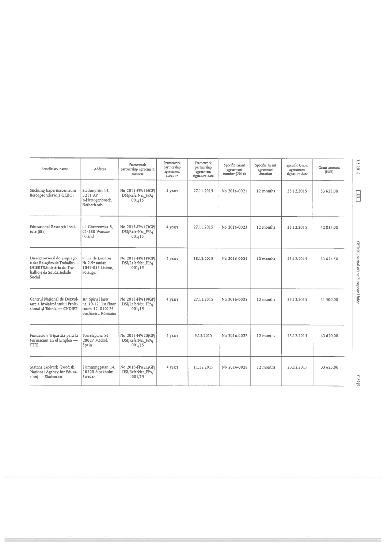| Beneficiary name                                                                                                            | <b>Address</b>                                                                     | Framework<br>partnership agreement<br>number     | Framework<br>partnership<br>agreement<br>duration | Framework<br>partnership<br>agreement<br>signature date | Specific Grant<br>agreement<br>number (2016) | Specific Grant<br>agreement<br>duration | Specific Grant<br>agreement<br>signature date | Grant amount<br>(EUR) | 3.3.2016                               |
|-----------------------------------------------------------------------------------------------------------------------------|------------------------------------------------------------------------------------|--------------------------------------------------|---------------------------------------------------|---------------------------------------------------------|----------------------------------------------|-----------------------------------------|-----------------------------------------------|-----------------------|----------------------------------------|
| Stichting Expertisecentrum<br>Beroepsonderwijs (ECBO)                                                                       | Stationplein 14,<br>5211 AP<br>'s-Hertogenbosch,<br>Netherlands                    | No 2015-FPA16/GP/<br>DSI/ReferNet_FPA/<br>001/15 | 4 years                                           | 27.11.2015                                              | No 2016-0021                                 | 12 months                               | 23.12.2015                                    | 33 625.00             | $\boxed{\Xi}$                          |
| Educational Research Insti-<br>tute (IBE)                                                                                   | ul. Górczewska 8.<br>01-180 Warsaw.<br>Poland                                      | No 2015-FPA17/GP/<br>DSI/ReferNet_FPA/<br>001/15 | 4 years                                           | 27.11.2015                                              | No 2016-0023                                 | 12 months                               | 23.12.2015                                    | 42834.00              |                                        |
| Direcção-Geral do Emprego<br>e das Relações de Trabalho -<br>DGERT/Ministério do Tra-<br>balho e da Solidariedade<br>Social | Praca de Londres<br>No 2-9° andar.<br>1049-056 Lisbon.<br>Portugal                 | No 2015-FPA18/GP/<br>DSI/ReferNet_FPA/<br>001/15 | 4 years                                           | 18.12.2015                                              | No 2016-0024                                 | 12 months                               | 23.12.2015                                    | 33 624.50             | Official Journal of the European Union |
| Centrul National de Dezvol-<br>tare a Învățământului Profe-<br>sional și Tehnic - CNDIPT                                    | str. Spiru Haret<br>nr. 10-12, 1st floor.<br>room 52, 010176<br>Bucharest, Romania | No 2015-FPA19/GP/<br>DSI/ReferNet_FPA/<br>001/15 | 4 years                                           | 27.11.2015                                              | No 2016-0025                                 | 12 months                               | 23.12.2015                                    | 31 500,00             |                                        |
| Fundacion Tripartita para la<br>Formacion en el Empleo -<br><b>FTFE</b>                                                     | Torrelaguna 56,<br>28027 Madrid.<br>Spain                                          | No 2015-FPA20/GP/<br>DSI/ReferNet_FPA/<br>001/15 | 4 years                                           | 9.12.2015                                               | No 2016-0027                                 | 12 months                               | 23.12.2015                                    | 43 620,00             |                                        |
| Statens Skolverk (Swedish<br>National Agency for Educa-<br>tion) - Skolverket                                               | Flemminggatan 14,<br>10620 Stockholm,<br>Sweden                                    | No 2015-FPA21/GP/<br>DSI/ReferNet_FPA/<br>001/15 | 4 years                                           | 11.12.2015                                              | No 2016-0028                                 | 12 months                               | 23.12.2015                                    | 33 625,00             | C81/9                                  |

 $C81/9$